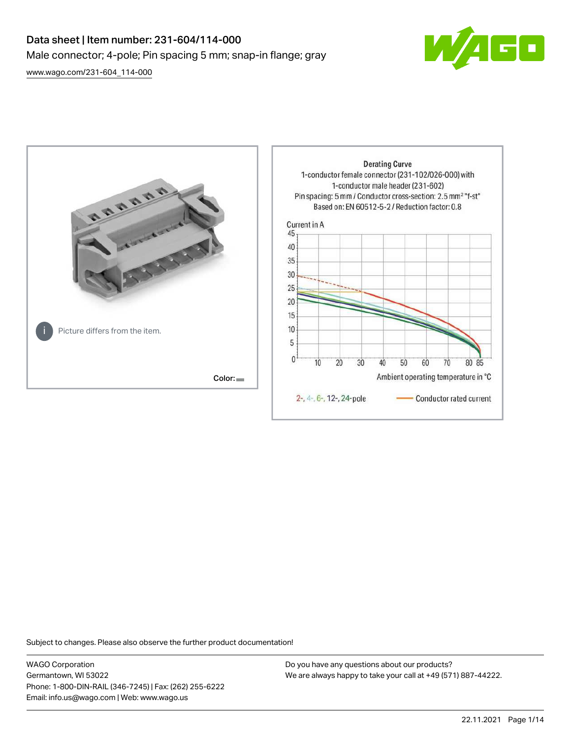# Data sheet | Item number: 231-604/114-000 Male connector; 4-pole; Pin spacing 5 mm; snap-in flange; gray



[www.wago.com/231-604\\_114-000](http://www.wago.com/231-604_114-000)



Subject to changes. Please also observe the further product documentation!

WAGO Corporation Germantown, WI 53022 Phone: 1-800-DIN-RAIL (346-7245) | Fax: (262) 255-6222 Email: info.us@wago.com | Web: www.wago.us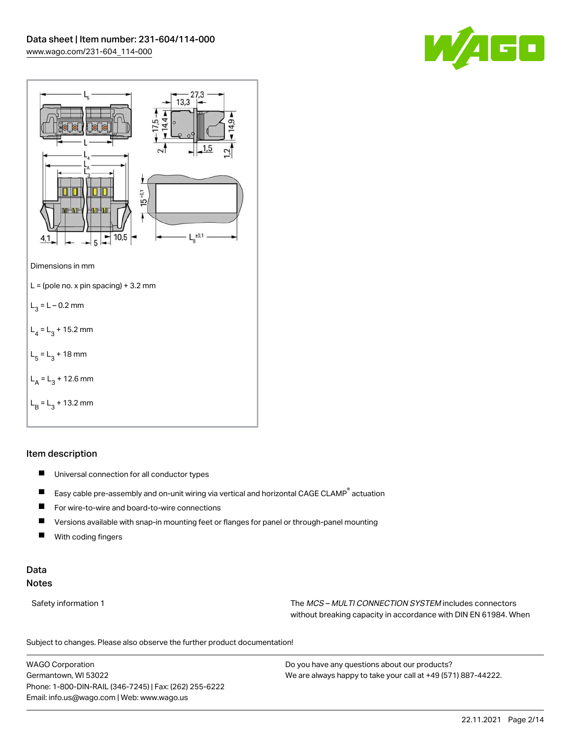



# Item description

- $\blacksquare$ Universal connection for all conductor types
- $\blacksquare$ Easy cable pre-assembly and on-unit wiring via vertical and horizontal CAGE CLAMP® actuation
- $\blacksquare$ For wire-to-wire and board-to-wire connections
- $\blacksquare$ Versions available with snap-in mounting feet or flanges for panel or through-panel mounting
- П With coding fingers

# Data Notes

Safety information 1 The MCS – MULTI CONNECTION SYSTEM includes connectors without breaking capacity in accordance with DIN EN 61984. When

Subject to changes. Please also observe the further product documentation!  $\mathbf{u}$ 

WAGO Corporation Germantown, WI 53022 Phone: 1-800-DIN-RAIL (346-7245) | Fax: (262) 255-6222 Email: info.us@wago.com | Web: www.wago.us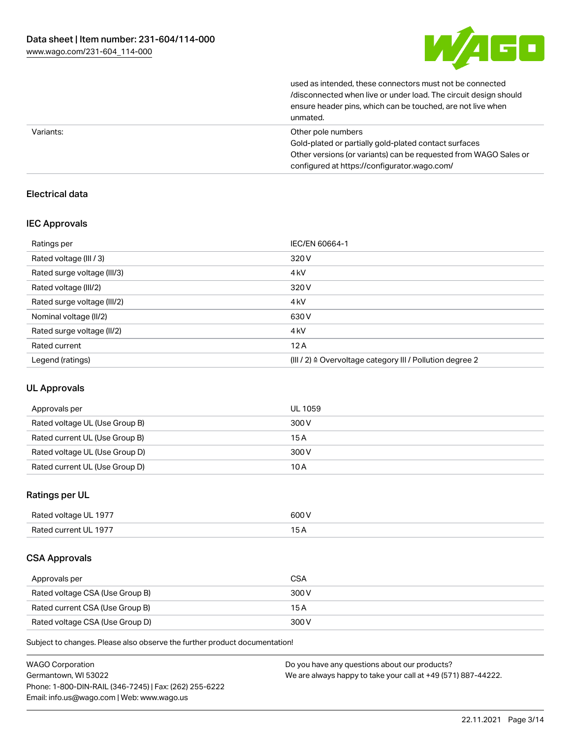

| Variants: | Other pole numbers                                               |
|-----------|------------------------------------------------------------------|
|           | unmated.                                                         |
|           | ensure header pins, which can be touched, are not live when      |
|           | /disconnected when live or under load. The circuit design should |
|           | used as intended, these connectors must not be connected         |

Gold-plated or partially gold-plated contact surfaces Other versions (or variants) can be requested from WAGO Sales or configured at https://configurator.wago.com/

# Electrical data

## IEC Approvals

| Ratings per                 | IEC/EN 60664-1                                                       |
|-----------------------------|----------------------------------------------------------------------|
| Rated voltage (III / 3)     | 320 V                                                                |
| Rated surge voltage (III/3) | 4 <sub>kV</sub>                                                      |
| Rated voltage (III/2)       | 320 V                                                                |
| Rated surge voltage (III/2) | 4 <sub>kV</sub>                                                      |
| Nominal voltage (II/2)      | 630 V                                                                |
| Rated surge voltage (II/2)  | 4 <sub>kV</sub>                                                      |
| Rated current               | 12A                                                                  |
| Legend (ratings)            | (III / 2) $\triangleq$ Overvoltage category III / Pollution degree 2 |

# UL Approvals

| Approvals per                  | UL 1059 |
|--------------------------------|---------|
| Rated voltage UL (Use Group B) | 300 V   |
| Rated current UL (Use Group B) | 15 A    |
| Rated voltage UL (Use Group D) | 300 V   |
| Rated current UL (Use Group D) | 10 A    |

# Ratings per UL

| Rated voltage UL 1977 | 600 V |
|-----------------------|-------|
| Rated current UL 1977 |       |

## CSA Approvals

| Approvals per                   | <b>CSA</b> |
|---------------------------------|------------|
| Rated voltage CSA (Use Group B) | 300 V      |
| Rated current CSA (Use Group B) | 15 A       |
| Rated voltage CSA (Use Group D) | 300 V      |

Subject to changes. Please also observe the further product documentation!

| <b>WAGO Corporation</b>                                | Do you have any questions about our products?                 |
|--------------------------------------------------------|---------------------------------------------------------------|
| Germantown, WI 53022                                   | We are always happy to take your call at +49 (571) 887-44222. |
| Phone: 1-800-DIN-RAIL (346-7245)   Fax: (262) 255-6222 |                                                               |
| Email: info.us@wago.com   Web: www.wago.us             |                                                               |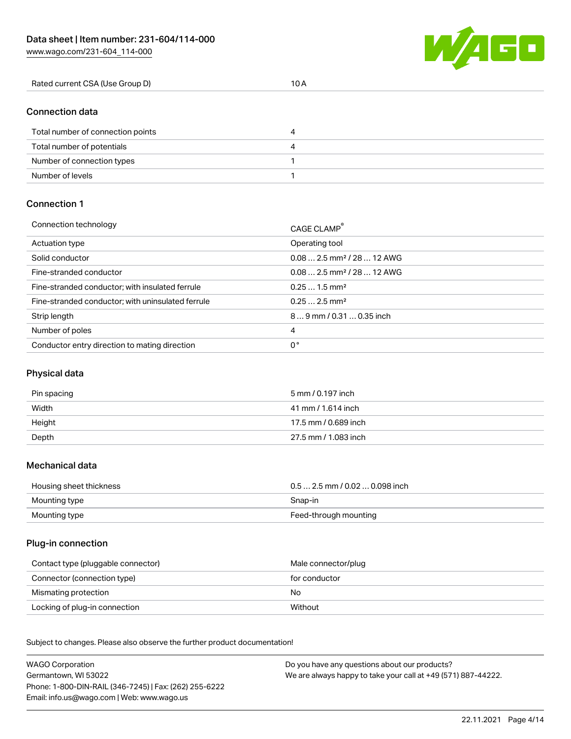W/AGO

Number of levels 1

| Rated current CSA (Use Group D)   | 10A |  |
|-----------------------------------|-----|--|
| <b>Connection data</b>            |     |  |
| Total number of connection points | 4   |  |
| Total number of potentials        | 4   |  |
| Number of connection types        |     |  |

#### Connection 1

| Connection technology                             | CAGE CLAMP®                             |
|---------------------------------------------------|-----------------------------------------|
| Actuation type                                    | Operating tool                          |
| Solid conductor                                   | $0.08$ 2.5 mm <sup>2</sup> / 28  12 AWG |
| Fine-stranded conductor                           | $0.08$ 2.5 mm <sup>2</sup> / 28  12 AWG |
| Fine-stranded conductor; with insulated ferrule   | $0.251.5$ mm <sup>2</sup>               |
| Fine-stranded conductor; with uninsulated ferrule | $0.252.5$ mm <sup>2</sup>               |
| Strip length                                      | 89 mm / 0.31  0.35 inch                 |
| Number of poles                                   | 4                                       |
| Conductor entry direction to mating direction     | 0°                                      |

## Physical data

| Pin spacing | 5 mm / 0.197 inch    |
|-------------|----------------------|
| Width       | 41 mm / 1.614 inch   |
| Height      | 17.5 mm / 0.689 inch |
| Depth       | 27.5 mm / 1.083 inch |

#### Mechanical data

| Housing sheet thickness | $0.5$ 2.5 mm / 0.02  0.098 inch |
|-------------------------|---------------------------------|
| Mounting type           | Snap-in                         |
| Mounting type           | Feed-through mounting           |

## Plug-in connection

| Contact type (pluggable connector) | Male connector/plug |
|------------------------------------|---------------------|
| Connector (connection type)        | for conductor       |
| Mismating protection               | No                  |
| Locking of plug-in connection      | Without             |

Subject to changes. Please also observe the further product documentation! Material data

| <b>WAGO Corporation</b>                                | Do you have any questions about our products?                 |
|--------------------------------------------------------|---------------------------------------------------------------|
| Germantown, WI 53022                                   | We are always happy to take your call at +49 (571) 887-44222. |
| Phone: 1-800-DIN-RAIL (346-7245)   Fax: (262) 255-6222 |                                                               |
| Email: info.us@wago.com   Web: www.wago.us             |                                                               |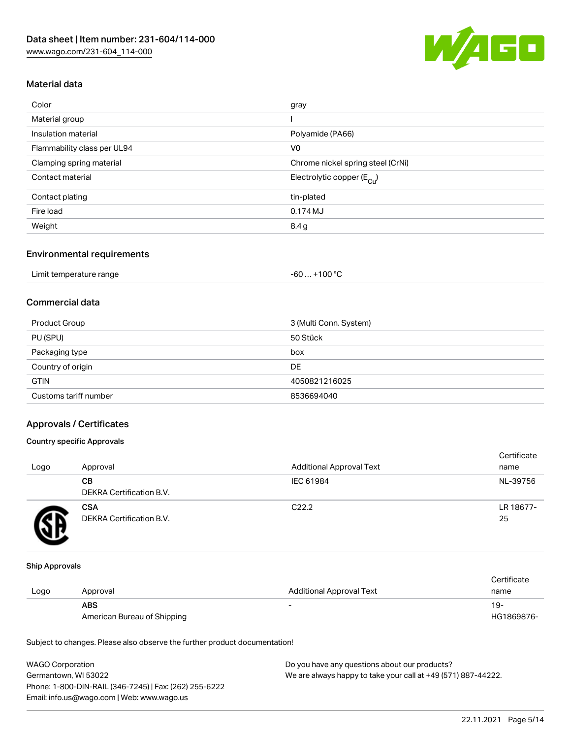

# Material data

| Color                       | gray                                   |
|-----------------------------|----------------------------------------|
| Material group              |                                        |
| Insulation material         | Polyamide (PA66)                       |
| Flammability class per UL94 | V <sub>0</sub>                         |
| Clamping spring material    | Chrome nickel spring steel (CrNi)      |
| Contact material            | Electrolytic copper (E <sub>Cu</sub> ) |
| Contact plating             | tin-plated                             |
| Fire load                   | 0.174 MJ                               |
| Weight                      | 8.4 g                                  |
|                             |                                        |

#### Environmental requirements

| Limit temperature range | . +100 °C<br>$-60$ |
|-------------------------|--------------------|
|-------------------------|--------------------|

# Commercial data

| Product Group         | 3 (Multi Conn. System) |
|-----------------------|------------------------|
| PU (SPU)              | 50 Stück               |
| Packaging type        | box                    |
| Country of origin     | DE                     |
| <b>GTIN</b>           | 4050821216025          |
| Customs tariff number | 8536694040             |

# Approvals / Certificates

## Country specific Approvals

| Logo | Approval                               | <b>Additional Approval Text</b> | Certificate<br>name |
|------|----------------------------------------|---------------------------------|---------------------|
|      | CВ<br>DEKRA Certification B.V.         | IEC 61984                       | NL-39756            |
|      | <b>CSA</b><br>DEKRA Certification B.V. | C <sub>22.2</sub>               | LR 18677-<br>25     |

#### Ship Approvals

|      |                             |                          | Certificate |
|------|-----------------------------|--------------------------|-------------|
| Logo | Approval                    | Additional Approval Text | name        |
|      | <b>ABS</b>                  | -                        | $19-$       |
|      | American Bureau of Shipping |                          | HG1869876-  |

Subject to changes. Please also observe the further product documentation!

| <b>WAGO Corporation</b>                                | Do you have any questions about our products?                 |
|--------------------------------------------------------|---------------------------------------------------------------|
| Germantown, WI 53022                                   | We are always happy to take your call at +49 (571) 887-44222. |
| Phone: 1-800-DIN-RAIL (346-7245)   Fax: (262) 255-6222 |                                                               |
| Email: info.us@wago.com   Web: www.wago.us             |                                                               |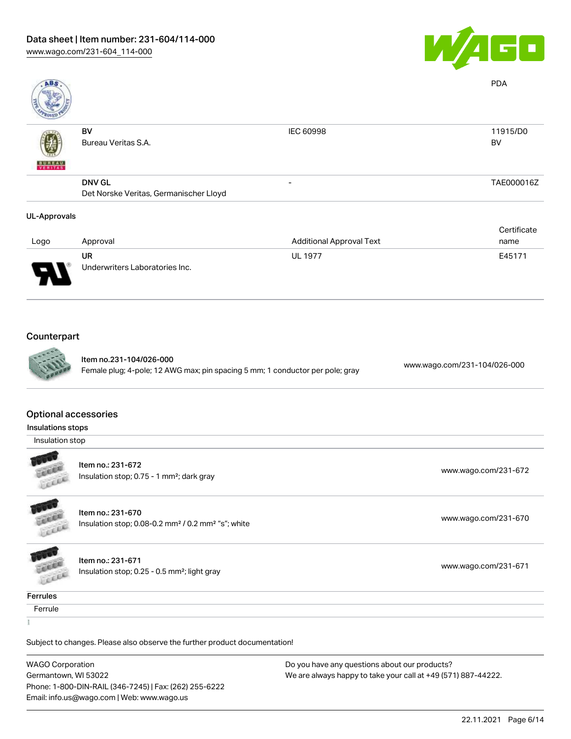

| <b>ABS</b>          |                                        |                                 | <b>PDA</b>  |
|---------------------|----------------------------------------|---------------------------------|-------------|
|                     | BV                                     | IEC 60998                       | 11915/D0    |
| <b>BUNEAU</b>       | Bureau Veritas S.A.                    |                                 | BV          |
|                     | <b>DNV GL</b>                          | -                               | TAE000016Z  |
|                     | Det Norske Veritas, Germanischer Lloyd |                                 |             |
| <b>UL-Approvals</b> |                                        |                                 |             |
|                     |                                        |                                 | Certificate |
| Logo                | Approval                               | <b>Additional Approval Text</b> | name        |
|                     | UR                                     | <b>UL 1977</b>                  | E45171      |
|                     | Underwriters Laboratories Inc.         |                                 |             |
|                     |                                        |                                 |             |

# **Counterpart**



Item no.231-104/026-000 Female plug; 4-pole; 12 AWG max; pin spacing 5 mm; 1 conductor per pole; gray [www.wago.com/231-104/026-000](https://www.wago.com/231-104/026-000)

#### Optional accessories

Insulations stops

Insulation stop



Item no.: 231-672 Insulation stop; 0.75 - 1 mm²; dark gray [www.wago.com/231-672](http://www.wago.com/231-672)

**ALLES** LEEEE

> **COLLEGE COLLEGE**

Item no.: 231-670 Insulation stop; 0.08-0.2 mm<sup>2</sup>/0.2 mm<sup>2</sup> "s"; white [www.wago.com/231-670](http://www.wago.com/231-670) www.wago.com/231-670

Item no.: 231-671 Insulation stop; 0.25 - 0.5 mm<sup>2</sup>; light gray [www.wago.com/231-671](http://www.wago.com/231-671) www.wago.com/231-671

**Ferrules** 

**Ferrule** 

Subject to changes. Please also observe the further product documentation!

WAGO Corporation Germantown, WI 53022 Phone: 1-800-DIN-RAIL (346-7245) | Fax: (262) 255-6222 Email: info.us@wago.com | Web: www.wago.us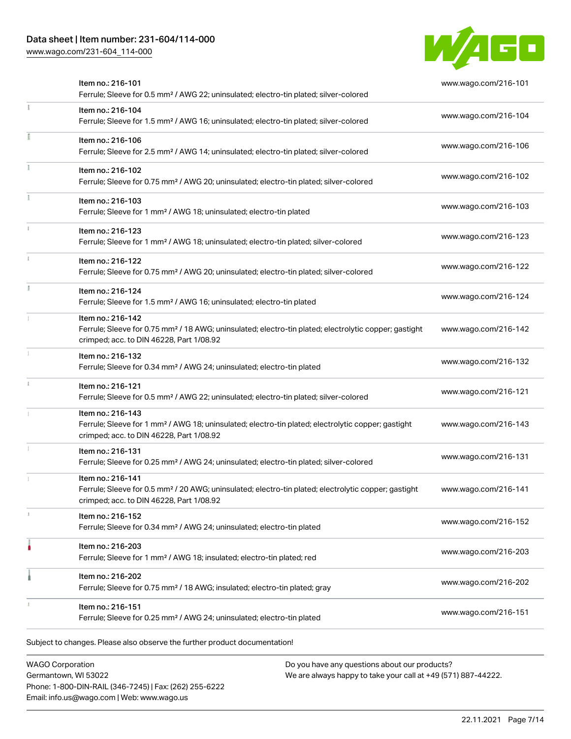# Data sheet | Item number: 231-604/114-000

[www.wago.com/231-604\\_114-000](http://www.wago.com/231-604_114-000)



| Item no.: 216-101<br>Ferrule; Sleeve for 0.5 mm <sup>2</sup> / AWG 22; uninsulated; electro-tin plated; silver-colored                                                             | www.wago.com/216-101 |
|------------------------------------------------------------------------------------------------------------------------------------------------------------------------------------|----------------------|
| Item no.: 216-104<br>Ferrule; Sleeve for 1.5 mm <sup>2</sup> / AWG 16; uninsulated; electro-tin plated; silver-colored                                                             | www.wago.com/216-104 |
| Item no.: 216-106<br>Ferrule; Sleeve for 2.5 mm <sup>2</sup> / AWG 14; uninsulated; electro-tin plated; silver-colored                                                             | www.wago.com/216-106 |
| Item no.: 216-102<br>Ferrule; Sleeve for 0.75 mm <sup>2</sup> / AWG 20; uninsulated; electro-tin plated; silver-colored                                                            | www.wago.com/216-102 |
| Item no.: 216-103<br>Ferrule; Sleeve for 1 mm <sup>2</sup> / AWG 18; uninsulated; electro-tin plated                                                                               | www.wago.com/216-103 |
| Item no.: 216-123<br>Ferrule; Sleeve for 1 mm <sup>2</sup> / AWG 18; uninsulated; electro-tin plated; silver-colored                                                               | www.wago.com/216-123 |
| Item no.: 216-122<br>Ferrule; Sleeve for 0.75 mm <sup>2</sup> / AWG 20; uninsulated; electro-tin plated; silver-colored                                                            | www.wago.com/216-122 |
| Item no.: 216-124<br>Ferrule; Sleeve for 1.5 mm <sup>2</sup> / AWG 16; uninsulated; electro-tin plated                                                                             | www.wago.com/216-124 |
| Item no.: 216-142<br>Ferrule; Sleeve for 0.75 mm <sup>2</sup> / 18 AWG; uninsulated; electro-tin plated; electrolytic copper; gastight<br>crimped; acc. to DIN 46228, Part 1/08.92 | www.wago.com/216-142 |
| Item no.: 216-132<br>Ferrule; Sleeve for 0.34 mm <sup>2</sup> / AWG 24; uninsulated; electro-tin plated                                                                            | www.wago.com/216-132 |
| Item no.: 216-121<br>Ferrule; Sleeve for 0.5 mm <sup>2</sup> / AWG 22; uninsulated; electro-tin plated; silver-colored                                                             | www.wago.com/216-121 |
| Item no.: 216-143<br>Ferrule; Sleeve for 1 mm <sup>2</sup> / AWG 18; uninsulated; electro-tin plated; electrolytic copper; gastight<br>crimped; acc. to DIN 46228, Part 1/08.92    | www.wago.com/216-143 |
| Item no.: 216-131<br>Ferrule; Sleeve for 0.25 mm <sup>2</sup> / AWG 24; uninsulated; electro-tin plated; silver-colored                                                            | www.wago.com/216-131 |
| Item no.: 216-141<br>Ferrule; Sleeve for 0.5 mm <sup>2</sup> / 20 AWG; uninsulated; electro-tin plated; electrolytic copper; gastight<br>crimped; acc. to DIN 46228, Part 1/08.92  | www.wago.com/216-141 |
| Item no.: 216-152<br>Ferrule; Sleeve for 0.34 mm <sup>2</sup> / AWG 24; uninsulated; electro-tin plated                                                                            | www.wago.com/216-152 |
| Item no.: 216-203<br>Ferrule; Sleeve for 1 mm <sup>2</sup> / AWG 18; insulated; electro-tin plated; red                                                                            | www.wago.com/216-203 |
| Item no.: 216-202<br>Ferrule; Sleeve for 0.75 mm <sup>2</sup> / 18 AWG; insulated; electro-tin plated; gray                                                                        | www.wago.com/216-202 |
| Item no.: 216-151<br>Ferrule; Sleeve for 0.25 mm <sup>2</sup> / AWG 24; uninsulated; electro-tin plated                                                                            | www.wago.com/216-151 |

WAGO Corporation Germantown, WI 53022 Phone: 1-800-DIN-RAIL (346-7245) | Fax: (262) 255-6222 Email: info.us@wago.com | Web: www.wago.us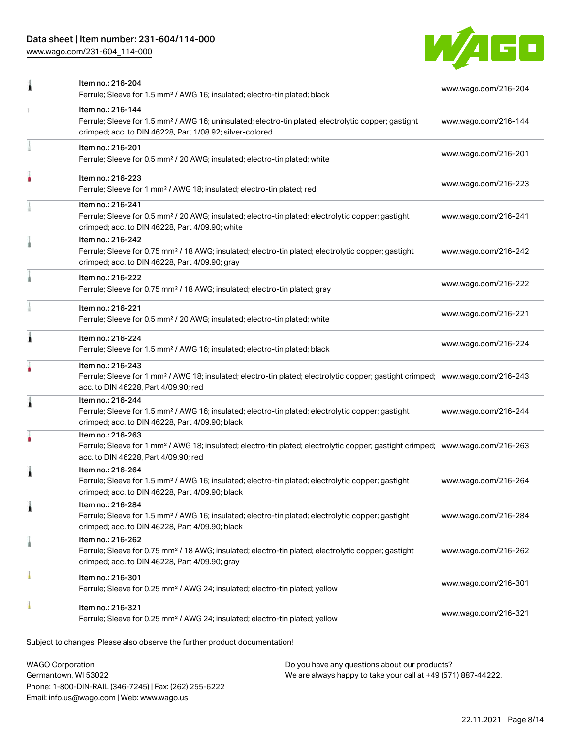# Data sheet | Item number: 231-604/114-000

[www.wago.com/231-604\\_114-000](http://www.wago.com/231-604_114-000)



| Item no.: 216-204<br>Ferrule; Sleeve for 1.5 mm <sup>2</sup> / AWG 16; insulated; electro-tin plated; black                                                                                       | www.wago.com/216-204                                                                                                                                                                                                                                                                     |
|---------------------------------------------------------------------------------------------------------------------------------------------------------------------------------------------------|------------------------------------------------------------------------------------------------------------------------------------------------------------------------------------------------------------------------------------------------------------------------------------------|
| Item no.: 216-144<br>Ferrule; Sleeve for 1.5 mm <sup>2</sup> / AWG 16; uninsulated; electro-tin plated; electrolytic copper; gastight<br>crimped; acc. to DIN 46228, Part 1/08.92; silver-colored | www.wago.com/216-144                                                                                                                                                                                                                                                                     |
| Item no.: 216-201<br>Ferrule; Sleeve for 0.5 mm <sup>2</sup> / 20 AWG; insulated; electro-tin plated; white                                                                                       | www.wago.com/216-201                                                                                                                                                                                                                                                                     |
| Item no.: 216-223<br>Ferrule; Sleeve for 1 mm <sup>2</sup> / AWG 18; insulated; electro-tin plated; red                                                                                           | www.wago.com/216-223                                                                                                                                                                                                                                                                     |
| Item no.: 216-241<br>Ferrule; Sleeve for 0.5 mm <sup>2</sup> / 20 AWG; insulated; electro-tin plated; electrolytic copper; gastight<br>crimped; acc. to DIN 46228, Part 4/09.90; white            | www.wago.com/216-241                                                                                                                                                                                                                                                                     |
| Item no.: 216-242<br>Ferrule; Sleeve for 0.75 mm <sup>2</sup> / 18 AWG; insulated; electro-tin plated; electrolytic copper; gastight<br>crimped; acc. to DIN 46228, Part 4/09.90; gray            | www.wago.com/216-242                                                                                                                                                                                                                                                                     |
| Item no.: 216-222<br>Ferrule; Sleeve for 0.75 mm <sup>2</sup> / 18 AWG; insulated; electro-tin plated; gray                                                                                       | www.wago.com/216-222                                                                                                                                                                                                                                                                     |
| Item no.: 216-221<br>Ferrule; Sleeve for 0.5 mm <sup>2</sup> / 20 AWG; insulated; electro-tin plated; white                                                                                       | www.wago.com/216-221                                                                                                                                                                                                                                                                     |
| Item no.: 216-224<br>Ferrule; Sleeve for 1.5 mm <sup>2</sup> / AWG 16; insulated; electro-tin plated; black                                                                                       | www.wago.com/216-224                                                                                                                                                                                                                                                                     |
| Item no.: 216-243<br>acc. to DIN 46228, Part 4/09.90; red                                                                                                                                         |                                                                                                                                                                                                                                                                                          |
| Item no.: 216-244<br>Ferrule; Sleeve for 1.5 mm <sup>2</sup> / AWG 16; insulated; electro-tin plated; electrolytic copper; gastight<br>crimped; acc. to DIN 46228, Part 4/09.90; black            | www.wago.com/216-244                                                                                                                                                                                                                                                                     |
| Item no.: 216-263<br>acc. to DIN 46228, Part 4/09.90; red                                                                                                                                         |                                                                                                                                                                                                                                                                                          |
| Item no.: 216-264<br>Ferrule; Sleeve for 1.5 mm <sup>2</sup> / AWG 16; insulated; electro-tin plated; electrolytic copper; gastight<br>crimped; acc. to DIN 46228, Part 4/09.90; black            | www.wago.com/216-264                                                                                                                                                                                                                                                                     |
| Item no.: 216-284<br>Ferrule; Sleeve for 1.5 mm <sup>2</sup> / AWG 16; insulated; electro-tin plated; electrolytic copper; gastight<br>crimped; acc. to DIN 46228, Part 4/09.90; black            | www.wago.com/216-284                                                                                                                                                                                                                                                                     |
| Item no.: 216-262<br>Ferrule; Sleeve for 0.75 mm <sup>2</sup> / 18 AWG; insulated; electro-tin plated; electrolytic copper; gastight<br>crimped; acc. to DIN 46228, Part 4/09.90; gray            | www.wago.com/216-262                                                                                                                                                                                                                                                                     |
| Item no.: 216-301<br>Ferrule; Sleeve for 0.25 mm <sup>2</sup> / AWG 24; insulated; electro-tin plated; yellow                                                                                     | www.wago.com/216-301                                                                                                                                                                                                                                                                     |
| Item no.: 216-321<br>Ferrule; Sleeve for 0.25 mm <sup>2</sup> / AWG 24; insulated; electro-tin plated; yellow                                                                                     | www.wago.com/216-321                                                                                                                                                                                                                                                                     |
|                                                                                                                                                                                                   | Ferrule; Sleeve for 1 mm <sup>2</sup> / AWG 18; insulated; electro-tin plated; electrolytic copper; gastight crimped; www.wago.com/216-243<br>Ferrule; Sleeve for 1 mm <sup>2</sup> / AWG 18; insulated; electro-tin plated; electrolytic copper; gastight crimped; www.wago.com/216-263 |

WAGO Corporation Germantown, WI 53022 Phone: 1-800-DIN-RAIL (346-7245) | Fax: (262) 255-6222 Email: info.us@wago.com | Web: www.wago.us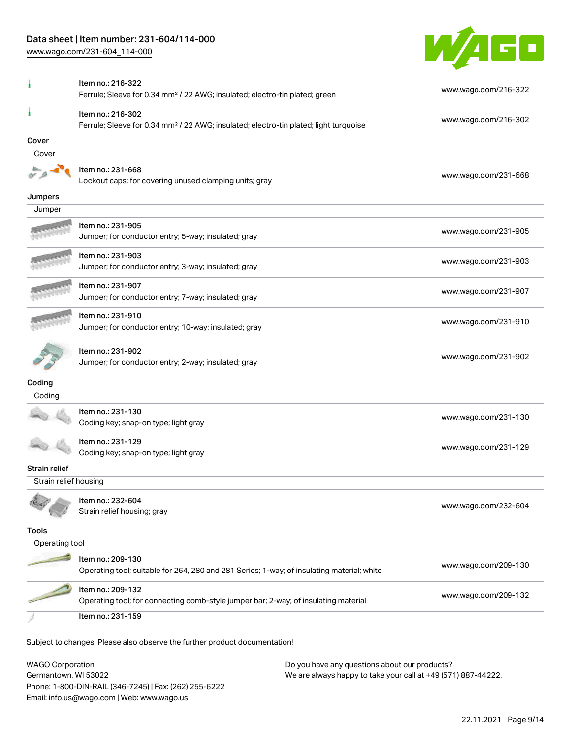# Data sheet | Item number: 231-604/114-000

[www.wago.com/231-604\\_114-000](http://www.wago.com/231-604_114-000)



|                       | Item no.: 216-322<br>Ferrule; Sleeve for 0.34 mm <sup>2</sup> / 22 AWG; insulated; electro-tin plated; green           | www.wago.com/216-322 |
|-----------------------|------------------------------------------------------------------------------------------------------------------------|----------------------|
|                       | Item no.: 216-302<br>Ferrule; Sleeve for 0.34 mm <sup>2</sup> / 22 AWG; insulated; electro-tin plated; light turquoise | www.wago.com/216-302 |
| Cover                 |                                                                                                                        |                      |
| Cover                 |                                                                                                                        |                      |
|                       | Item no.: 231-668                                                                                                      |                      |
|                       | Lockout caps; for covering unused clamping units; gray                                                                 | www.wago.com/231-668 |
| Jumpers               |                                                                                                                        |                      |
| Jumper                |                                                                                                                        |                      |
|                       | Item no.: 231-905<br>Jumper; for conductor entry; 5-way; insulated; gray                                               | www.wago.com/231-905 |
|                       | Item no.: 231-903<br>Jumper; for conductor entry; 3-way; insulated; gray                                               | www.wago.com/231-903 |
|                       | Item no.: 231-907<br>Jumper; for conductor entry; 7-way; insulated; gray                                               | www.wago.com/231-907 |
|                       | Item no.: 231-910<br>Jumper; for conductor entry; 10-way; insulated; gray                                              | www.wago.com/231-910 |
|                       | Item no.: 231-902<br>Jumper; for conductor entry; 2-way; insulated; gray                                               | www.wago.com/231-902 |
| Coding                |                                                                                                                        |                      |
| Coding                |                                                                                                                        |                      |
|                       | Item no.: 231-130<br>Coding key; snap-on type; light gray                                                              | www.wago.com/231-130 |
|                       | Item no.: 231-129<br>Coding key; snap-on type; light gray                                                              | www.wago.com/231-129 |
| Strain relief         |                                                                                                                        |                      |
| Strain relief housing |                                                                                                                        |                      |
|                       | Item no.: 232-604<br>Strain relief housing; gray                                                                       | www.wago.com/232-604 |
| <b>Tools</b>          |                                                                                                                        |                      |
| Operating tool        |                                                                                                                        |                      |
|                       | Item no.: 209-130<br>Operating tool; suitable for 264, 280 and 281 Series; 1-way; of insulating material; white        | www.wago.com/209-130 |
|                       | Item no.: 209-132<br>Operating tool; for connecting comb-style jumper bar; 2-way; of insulating material               | www.wago.com/209-132 |
|                       | Item no.: 231-159                                                                                                      |                      |
|                       | Subject to changes. Please also observe the further product documentation!                                             |                      |

WAGO Corporation Germantown, WI 53022 Phone: 1-800-DIN-RAIL (346-7245) | Fax: (262) 255-6222 Email: info.us@wago.com | Web: www.wago.us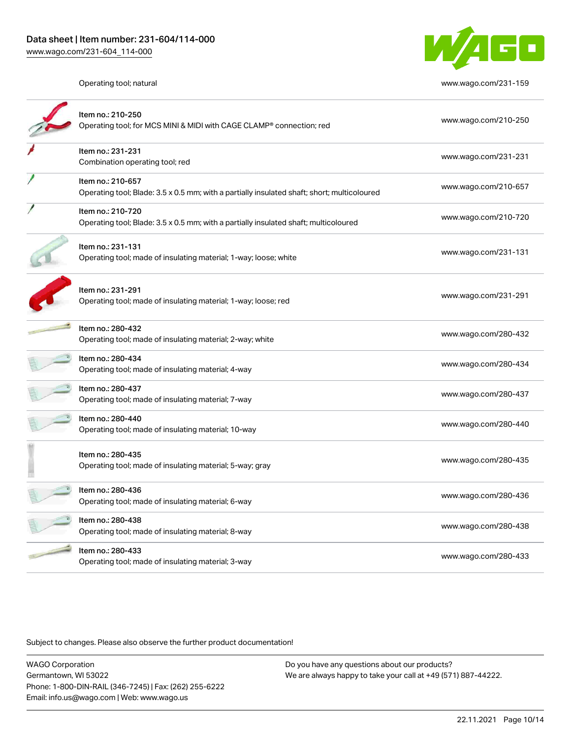

Operating tool; natural [www.wago.com/231-159](http://www.wago.com/231-159)

| Item no.: 210-250<br>Operating tool; for MCS MINI & MIDI with CAGE CLAMP® connection; red                        | www.wago.com/210-250 |
|------------------------------------------------------------------------------------------------------------------|----------------------|
| Item no.: 231-231<br>Combination operating tool; red                                                             | www.wago.com/231-231 |
| Item no.: 210-657<br>Operating tool; Blade: 3.5 x 0.5 mm; with a partially insulated shaft; short; multicoloured | www.wago.com/210-657 |
| Item no.: 210-720<br>Operating tool; Blade: 3.5 x 0.5 mm; with a partially insulated shaft; multicoloured        | www.wago.com/210-720 |
| Item no.: 231-131<br>Operating tool; made of insulating material; 1-way; loose; white                            | www.wago.com/231-131 |
| Item no.: 231-291<br>Operating tool; made of insulating material; 1-way; loose; red                              | www.wago.com/231-291 |
| Item no.: 280-432<br>Operating tool; made of insulating material; 2-way; white                                   | www.wago.com/280-432 |
| Item no.: 280-434<br>Operating tool; made of insulating material; 4-way                                          | www.wago.com/280-434 |
| Item no.: 280-437<br>Operating tool; made of insulating material; 7-way                                          | www.wago.com/280-437 |
| Item no.: 280-440<br>Operating tool; made of insulating material; 10-way                                         | www.wago.com/280-440 |
| Item no.: 280-435<br>Operating tool; made of insulating material; 5-way; gray                                    | www.wago.com/280-435 |
| Item no.: 280-436<br>Operating tool; made of insulating material; 6-way                                          | www.wago.com/280-436 |
| Item no.: 280-438<br>Operating tool; made of insulating material; 8-way                                          | www.wago.com/280-438 |
| Item no.: 280-433<br>Operating tool; made of insulating material; 3-way                                          | www.wago.com/280-433 |

Subject to changes. Please also observe the further product documentation!

WAGO Corporation Germantown, WI 53022 Phone: 1-800-DIN-RAIL (346-7245) | Fax: (262) 255-6222 Email: info.us@wago.com | Web: www.wago.us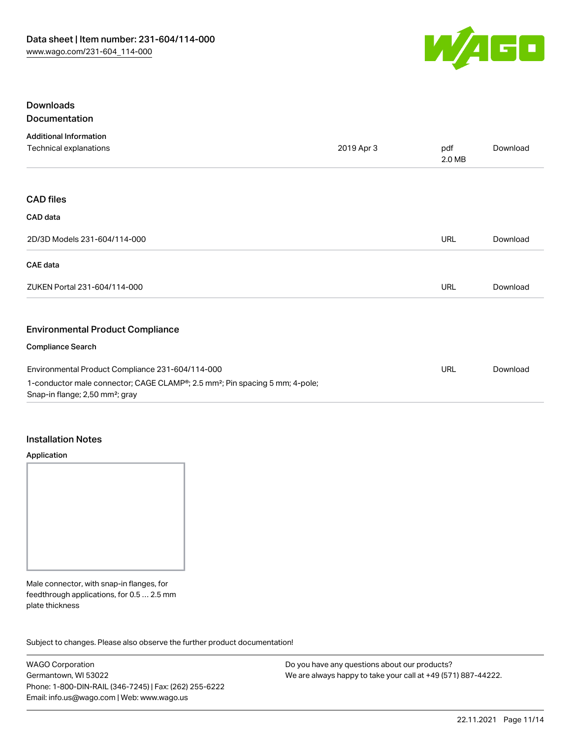

# Downloads Documentation

| <b>Additional Information</b>                                                                                                           |            |               |          |
|-----------------------------------------------------------------------------------------------------------------------------------------|------------|---------------|----------|
| Technical explanations                                                                                                                  | 2019 Apr 3 | pdf<br>2.0 MB | Download |
|                                                                                                                                         |            |               |          |
| <b>CAD files</b>                                                                                                                        |            |               |          |
| CAD data                                                                                                                                |            |               |          |
| 2D/3D Models 231-604/114-000                                                                                                            |            | <b>URL</b>    | Download |
| CAE data                                                                                                                                |            |               |          |
| ZUKEN Portal 231-604/114-000                                                                                                            |            | URL           | Download |
| <b>Environmental Product Compliance</b>                                                                                                 |            |               |          |
| <b>Compliance Search</b>                                                                                                                |            |               |          |
| Environmental Product Compliance 231-604/114-000                                                                                        |            | <b>URL</b>    | Download |
| 1-conductor male connector; CAGE CLAMP®; 2.5 mm <sup>2</sup> ; Pin spacing 5 mm; 4-pole;<br>Snap-in flange; 2,50 mm <sup>2</sup> ; gray |            |               |          |

#### Installation Notes

#### Application



Male connector, with snap-in flanges, for feedthrough applications, for 0.5 … 2.5 mm plate thickness

Subject to changes. Please also observe the further product documentation!

WAGO Corporation Germantown, WI 53022 Phone: 1-800-DIN-RAIL (346-7245) | Fax: (262) 255-6222 Email: info.us@wago.com | Web: www.wago.us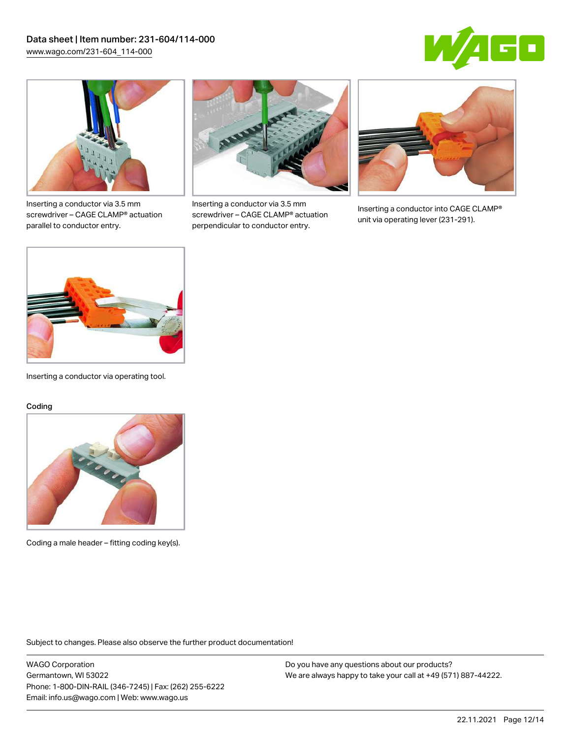



Inserting a conductor via 3.5 mm screwdriver – CAGE CLAMP® actuation parallel to conductor entry.



Inserting a conductor via 3.5 mm screwdriver – CAGE CLAMP® actuation perpendicular to conductor entry.



Inserting a conductor into CAGE CLAMP® unit via operating lever (231-291).



Inserting a conductor via operating tool.

#### Coding



Coding a male header – fitting coding key(s).

Subject to changes. Please also observe the further product documentation!

WAGO Corporation Germantown, WI 53022 Phone: 1-800-DIN-RAIL (346-7245) | Fax: (262) 255-6222 Email: info.us@wago.com | Web: www.wago.us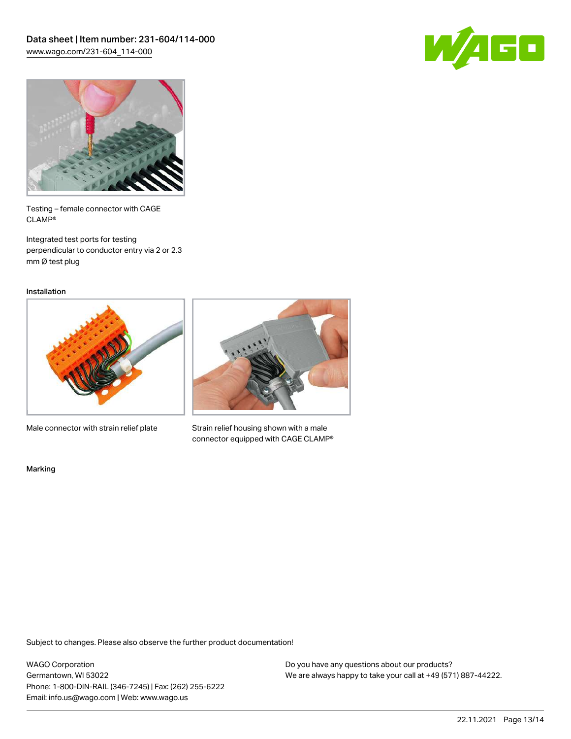



Testing – female connector with CAGE CLAMP®

Integrated test ports for testing perpendicular to conductor entry via 2 or 2.3 mm Ø test plug

Installation



Male connector with strain relief plate



Strain relief housing shown with a male connector equipped with CAGE CLAMP®

Marking

Subject to changes. Please also observe the further product documentation!

WAGO Corporation Germantown, WI 53022 Phone: 1-800-DIN-RAIL (346-7245) | Fax: (262) 255-6222 Email: info.us@wago.com | Web: www.wago.us